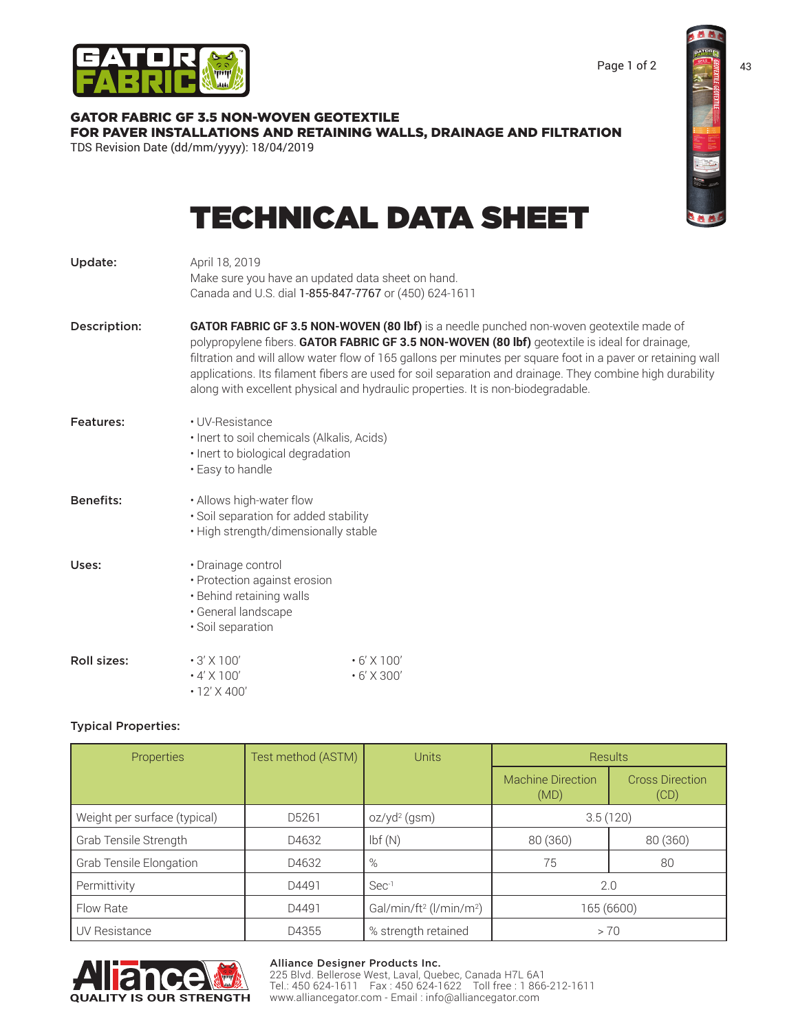

# GATOR FABRIC GF 3.5 NON-WOVEN GEOTEXTILE FOR PAVER INSTALLATIONS AND RETAINING WALLS, DRAINAGE AND FILTRATION

TDS Revision Date (dd/mm/yyyy): 18/04/2019

# TECHNICAL DATA SHEET

| Update:          | April 18, 2019<br>Make sure you have an updated data sheet on hand.<br>Canada and U.S. dial 1-855-847-7767 or (450) 624-1611                                                                                                                                                                                                                                                                                                                                                                               |                                        |  |
|------------------|------------------------------------------------------------------------------------------------------------------------------------------------------------------------------------------------------------------------------------------------------------------------------------------------------------------------------------------------------------------------------------------------------------------------------------------------------------------------------------------------------------|----------------------------------------|--|
| Description:     | GATOR FABRIC GF 3.5 NON-WOVEN (80 lbf) is a needle punched non-woven geotextile made of<br>polypropylene fibers. GATOR FABRIC GF 3.5 NON-WOVEN (80 lbf) geotextile is ideal for drainage,<br>filtration and will allow water flow of 165 gallons per minutes per square foot in a paver or retaining wall<br>applications. Its filament fibers are used for soil separation and drainage. They combine high durability<br>along with excellent physical and hydraulic properties. It is non-biodegradable. |                                        |  |
| <b>Features:</b> | • UV-Resistance<br>· Inert to soil chemicals (Alkalis, Acids)<br>· Inert to biological degradation<br>• Easy to handle                                                                                                                                                                                                                                                                                                                                                                                     |                                        |  |
| <b>Benefits:</b> | • Allows high-water flow<br>· Soil separation for added stability<br>· High strength/dimensionally stable                                                                                                                                                                                                                                                                                                                                                                                                  |                                        |  |
| Uses:            | · Drainage control<br>• Protection against erosion<br>• Behind retaining walls<br>· General landscape<br>· Soil separation                                                                                                                                                                                                                                                                                                                                                                                 |                                        |  |
| Roll sizes:      | $\cdot$ 3' $\times$ 100'<br>$\cdot$ 4' $\times$ 100'<br>$\cdot$ 12' X 400'                                                                                                                                                                                                                                                                                                                                                                                                                                 | $\cdot$ 6' X 100'<br>$\cdot$ 6' X 300' |  |

# Typical Properties:

| Properties                   | Test method (ASTM) | <b>Units</b>                                    | <b>Results</b>                   |                                |
|------------------------------|--------------------|-------------------------------------------------|----------------------------------|--------------------------------|
|                              |                    |                                                 | <b>Machine Direction</b><br>(MD) | <b>Cross Direction</b><br>(CD) |
| Weight per surface (typical) | D5261              | $oz/yd^2$ (gsm)                                 | 3.5(120)                         |                                |
| Grab Tensile Strength        | D4632              | Ibf(M)                                          | 80 (360)                         | 80 (360)                       |
| Grab Tensile Elongation      | D4632              | $\%$                                            | 75                               | 80                             |
| Permittivity                 | D4491              | Sec <sup>1</sup>                                |                                  | 2.0                            |
| <b>Flow Rate</b>             | D4491              | Gal/min/ft <sup>2</sup> (l/min/m <sup>2</sup> ) | 165 (6600)                       |                                |
| <b>UV Resistance</b>         | D4355              | % strength retained                             |                                  | >70                            |



## Alliance Designer Products Inc.

225 Blvd. Bellerose West, Laval, Quebec, Canada H7L 6A1 Tel.: 450 624-1611 Fax : 450 624-1622 Toll free : 1 866-212-1611 www.alliancegator.com - Email : info@alliancegator.com